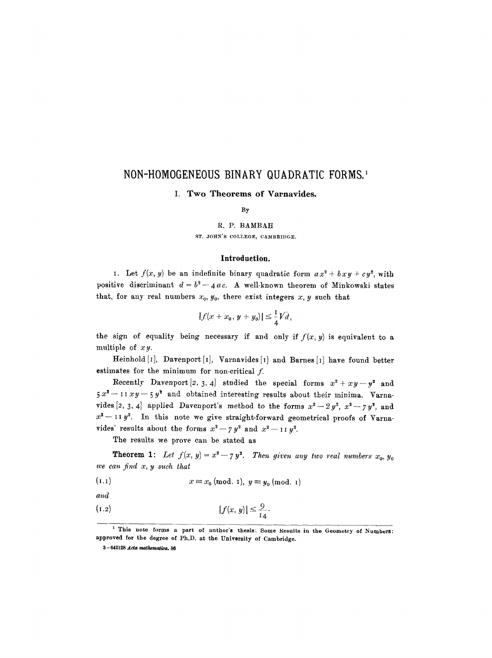# **NON-HOMOGENEOUS BINARY QUADRATIC FORMS.**

## I. Two Theorems of Varnavides.

By

#### R. P. BAMBAH

ST. JOHN'S COLLEGE, CAMBRIDGE.

#### **Introduction.**

1. Let  $f(x, y)$  be an indefinite binary quadratic form  $ax^2 + bxy + cy^2$ , with positive discriminant  $d = b^2 - 4ac$ . A well-known theorem of Minkowski states that, for any real numbers  $x_0$ ,  $y_0$ , there exist integers  $x, y$  such that

$$
|f(x + x_0, y + y_0)| \leq \frac{1}{4}V \tilde{d},
$$

the sign of equality being necessary if and only if  $f(x, y)$  is equivalent to a multiple of *xy.* 

Heinhold  $[I]$ , Davenport  $[I]$ , Varnavides  $[I]$  and Barnes  $[I]$  have found better estimates for the minimum for non-critical  $f$ .

Recently Davenport [2, 3, 4] studied the special forms  $x^2 + xy - y^2$  and  $5 x^2 - 11 xy - 5 y^2$  and obtained interesting results about their minima. Varnavides [2, 3, 4] applied Davenport's method to the forms  $x^2-2y^2$ ,  $x^2-zy^2$ , and  $x^2 - 11 y^2$ . In this note we give straight-forward geometrical proofs of Varnavides' results about the forms  $x^2 - 7y^2$  and  $x^2 - 11y^2$ .

The results we prove can be stated as

**Theorem 1:** Let  $f(x, y) = x^2 - 7y^2$ . Then given any two real numbers  $x_0, y_0$ *we can find x, y such that* 

$$
(1.1) \t x \equiv x_0 \text{ (mod. 1)}, y \equiv y_0 \text{ (mod. 1)}
$$

*and* 

 $\overline{a}$ 

$$
|f(x, y)| \leq \frac{9}{14}.
$$

<sup>1</sup> This note forms a part of author's thesis: Some Results in the Geometry of Numbers: approved for the degree of Ph,D. at the University of Cambridge.

<sup>3 - 642128</sup> *Acts mathemativa.* 86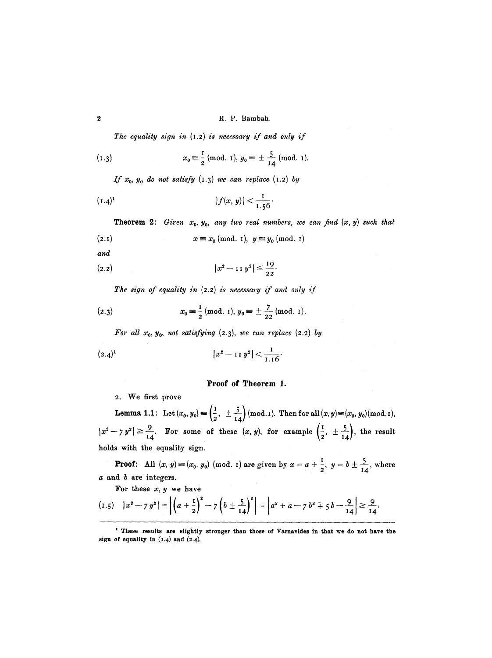*The equality sign in* (1.2) *is necessary if and only if* 

(1.3) 
$$
x_0 \equiv \frac{1}{2} \pmod{1}, y_0 \equiv \pm \frac{5}{14} \pmod{1}.
$$

*If*  $x_0$ ,  $y_0$  *do not satisfy*  $(1.3)$  *we can replace*  $(1.2)$  *by* 

$$
(1.4)^{t} \t\t |f(x, y)| < \frac{1}{1.56}.
$$

**Theorem 2:** *Giren*  $x_0$ ,  $y_0$ , any two real numbers, we can find  $(x, y)$  such that

$$
(2.1) \t x \equiv x_0 \; (\text{mod. 1}), \; y \equiv y_0 \; (\text{mod. 1})
$$

*and* 

(2.2) 
$$
|x^2 - 11y^2| \leq \frac{19}{22}.
$$

*The sign of equality in (2.2) is necessary if and only if* 

(2.3) 
$$
x_0 \equiv \frac{1}{2} \pmod{1}, y_0 \equiv \pm \frac{7}{22} \pmod{1}.
$$

*For all*  $x_0$ *,*  $y_0$ , *not satisfying*  $(2.3)$ *, we can replace*  $(2.2)$  by

$$
(2.4)^1 \t\t |x^2-11y^2|<\frac{1}{1.16}.
$$

# Proof of Theorem I.

2. We first prove

**Lemma 1.1:** Let  $(x_0, y_0) \equiv \left(\frac{1}{2}, \pm \frac{5}{14}\right)$  (mod.1). Then for all  $(x, y) \equiv (x_0, y_0)$  (mod.1),  $|x^2-y^2| \geq \frac{9}{14}$ . For some of these  $(x, y)$ , for example  $\left(\frac{1}{2}, \pm \frac{5}{14}\right)$ , the result holds with the equality sign.

**Proof:** All  $(x, y) = (x_0, y_0)$  (mod. 1) are given by  $x = a + \frac{1}{2}, y = b \pm \frac{5}{14}$ , where a and b are integers.

For these  $x, y$  we have

$$
(1.5) \quad |x^2 - 7y^2| = \left| \left( a + \frac{1}{2} \right)^2 - 7 \left( b \pm \frac{5}{14} \right)^2 \right| = \left| a^2 + a - 7 \, b^2 \mp 5 \, b - \frac{9}{14} \right| \geq \frac{9}{14},
$$

t These results are slightly stronger than those of Varnavides in that we do not have the sign of equality in  $(1.4)$  and  $(2.4)$ .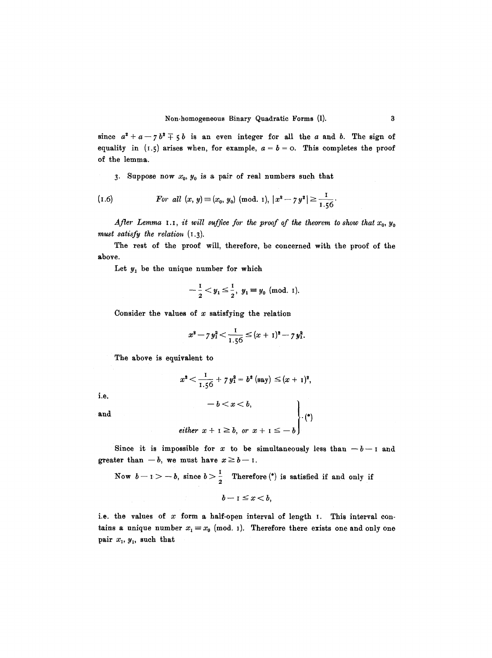since  $a^2 + a - 7b^2 + 5b$  is an even integer for all the a and b. The sign of equality in (1.5) arises when, for example,  $a = b = 0$ . This completes the proof of the lemma.

3. Suppose now  $x_0$ ,  $y_0$  is a pair of real numbers such that

(1.6) *For all* 
$$
(x, y) \equiv (x_0, y_0) \pmod{1}, |x^2 - 7y^2| \ge \frac{1}{1.56}
$$

*After Lemma 1.1, it will suffice for the proof of the theorem to show that* $x_0, y_0$ *must satisfy the relation* (1.3).

The rest of the proof will, therefore, be concerned with the proof of the above.

Let  $y_1$  be the unique number for which

$$
-\frac{1}{2} < y_1 \leq \frac{1}{2}, y_1 \equiv y_0 \text{ (mod. 1)}.
$$

Consider the values of  $x$  satisfying the relation

$$
x^2 - 7y_1^2 < \frac{1}{1.56} \le (x+1)^2 - 7y_1^2.
$$

The above is equivalent to

$$
x^2 < \frac{1}{1.56} + 7 y_1^2 = b^2 \text{ (say)} \leq (x+1)^2,
$$

i.e.

$$
-b < x < b,
$$
\nand

\n
$$
either \ x + 1 \geq b, \ or \ x + 1 \leq -b
$$
\nwith

Since it is impossible for x to be simultaneously less than  $-b-1$  and greater than  $-b$ , we must have  $x \geq b-1$ .

Now 
$$
b-1 > -b
$$
, since  $b > \frac{1}{2}$  Therefore (\*) is satisfied if and only if

 $b-1 \leq x < b$ ,

i.e. the values of  $x$  form a half-open interval of length  $I.$  This interval contains a unique number  $x_1 \equiv x_0 \pmod{1}$ . Therefore there exists one and only one pair  $x_1, y_1$ , such that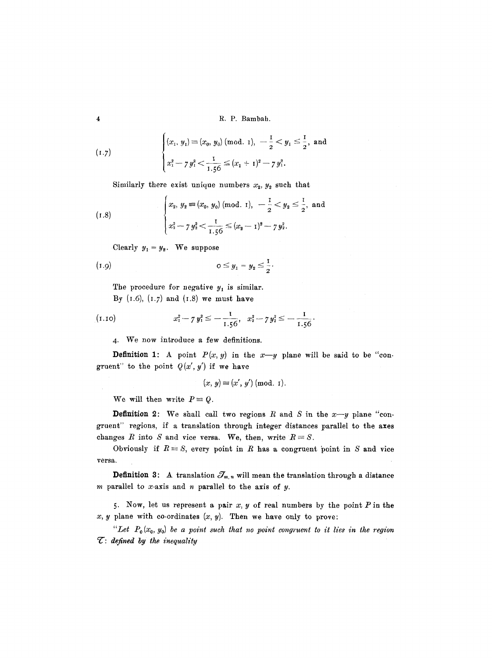4 R.P. Bambah.

$$
(1.7) \qquad \begin{cases} (x_1, y_1) \equiv (x_0, y_0) \text{ (mod. 1)}, \ -\frac{1}{2} < y_1 \leq \frac{1}{2}, \text{ and} \\ x_1^2 - 7y_1^2 < \frac{1}{1.56} \leq (x_1 + 1)^2 - 7y_1^2. \end{cases}
$$

Similarly there exist unique numbers  $x_2, y_2$  such that

$$
(1.8) \qquad \begin{cases} x_2, y_2 \equiv (x_0, y_0) \text{ (mod. 1)}, -\frac{1}{2} < y_2 \leq \frac{1}{2}, \text{ and} \\ x_2^2 - 7y_2^2 < \frac{1}{1.56} \leq (x_2 - 1)^2 - 7y_2^2. \end{cases}
$$

Clearly  $y_1 = y_2$ . We suppose

(1.9) 
$$
0 \le y_1 = y_2 \le \frac{1}{2}.
$$

The procedure for negative  $y_1$  is similar. By  $(1.6)$ ,  $(1.7)$  and  $(1.8)$  we must have

$$
(1.10) \t x_1^2 - 7 y_1^2 \leq -\frac{1}{1.56}, \t x_2^2 - 7 y_2^2 \leq -\frac{1}{1.56}.
$$

4. We now introduce a few definitions.

**Definition 1:** A point  $P(x, y)$  in the  $x-y$  plane will be said to be "congruent" to the point  $Q(x', y')$  if we have

$$
(x, y) \equiv (x', y') \pmod{1}.
$$

We will then write  $P = Q$ .

**Definition 2:** We shall call two regions R and S in the  $x-y$  plane "congruent" regions, if a translation through integer distances parallel to the axes changes R into S and vice versa. We, then, write  $R \equiv S$ .

Obviously if  $R \equiv S$ , every point in R has a congruent point in S and vice versa.

**Definition 3:** A translation  $\mathcal{J}_{m,n}$  will mean the translation through a distance m parallel to  $x$ -axis and  $n$  parallel to the axis of  $y$ .

5. Now, let us represent a pair  $x, y$  of real numbers by the point  $P$  in the  $x, y$  plane with co-ordinates  $(x, y)$ . Then we have only to prove:

 $H$ <sup>2</sup> Let  $P_0(x_0, y_0)$  be a point such that no point congruent to it lies in the region *9 ": defined by the inequality*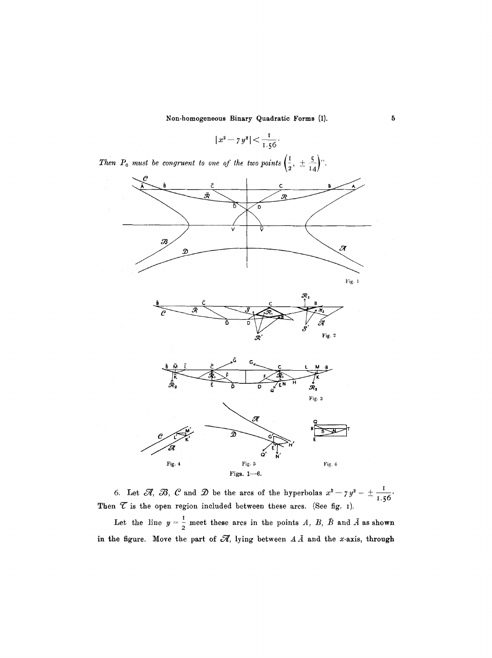$$
|x^2 - 7y^2| < \frac{1}{1.56}.
$$





6. Let  $\mathcal{A}, \mathcal{B}, \mathcal{C}$  and  $\mathcal{D}$  be the arcs of the hyperbolas  $x^2 - 7y^2 = \pm \frac{1}{1.56}$ Then  $\mathcal C$  is the open region included between these arcs. (See fig. 1).

Let the line  $y = \frac{1}{2}$  meet these arcs in the points *A, B, B* and *A* as shown in the figure. Move the part of  $\mathscr R$ , lying between  $A\bar A$  and the x-axis, through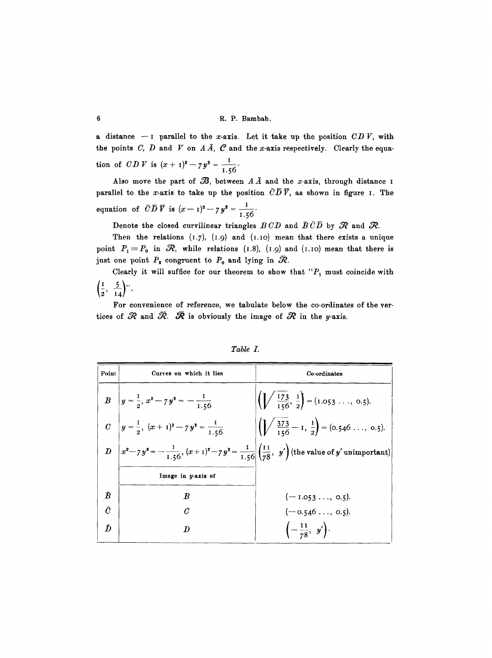a distance  $-1$  parallel to the x-axis. Let it take up the position  $CD V$ , with the points C, D and V on A  $\tilde{A}$ ,  $C$  and the x-axis respectively. Clearly the equation of *CDV* is  $(x + 1)^2 - 7y^2 = \frac{1}{1.56}$ .

Also move the part of  $\mathcal{B}$ , between  $A\overline{A}$  and the x-axis, through distance I parallel to the *x*-axis to take up the position  $\overline{C}\overline{D}\overline{V}$ , as shown in figure I. The equation of  $\overline{CD} \ \overline{V}$  is  $(x-1)^2 - 7y^2 = \frac{1}{156}$ .

Denote the closed curvilinear triangles  $BCD$  and  $\bar{B}\bar{C}\bar{D}$  by  $\mathcal R$  and  $\mathcal R$ .

Then the relations  $(1.7)$ ,  $(1.9)$  and  $(1.10)$  mean that there exists a unique point  $P_1\equiv P_0$  in  $\Re$ , while relations (I.8), (I.9) and (I.IO) mean that there is just one point  $P_2$  congruent to  $P_0$  and lying in  $\mathcal{R}$ .

Clearly it will suffice for our theorem to show that " $P_1$  must coincide with  $\left(\frac{1}{2}, \frac{5}{14}\right)$ ".

For convenience of reference, we tabulate below the co-ordinates of the vertices of  $R$  and  $\bar{R}$ .  $\bar{R}$  is obviously the image of  $R$  in the y-axis.

| Point          | Curves on which it lies                                                                                                           | Co-ordinates                                                                                          |
|----------------|-----------------------------------------------------------------------------------------------------------------------------------|-------------------------------------------------------------------------------------------------------|
|                | B $y = \frac{1}{2}$ , $x^2 - 7y^2 = -\frac{1}{1.56}$                                                                              | $\left(\left\lfloor \sqrt{\frac{173}{156}}, \frac{1}{2} \right\rfloor = (1.053 \ldots, 0.5). \right)$ |
|                | C $y = \frac{1}{2}, (x + 1)^2 - 7y^2 = \frac{1}{1.56}$                                                                            | $\left  \left( \sqrt{\frac{373}{156}} - 1, \frac{1}{2} \right) \right  = (0.546 \ldots, 0.5).$        |
|                | $D\left[x^2 - 7y^2 = -\frac{1}{1.56}, (x+1)^2 - 7y^2 = \frac{1}{1.56}\left(\frac{11}{78}, y'\right)$ (the value of y'unimportant) |                                                                                                       |
|                | Image in y-axis of                                                                                                                |                                                                                                       |
| $\bar{\bm{B}}$ | $\bm{B}$                                                                                                                          | $(-1.053, 0.5).$                                                                                      |
| $\bar{C}$      | $\mathcal{C}$                                                                                                                     | $(-0.546, 0.5).$                                                                                      |
| $\bar{D}$      | D                                                                                                                                 | $\left(-\frac{11}{78}, y'\right)$ .                                                                   |

| Table |  |
|-------|--|
|-------|--|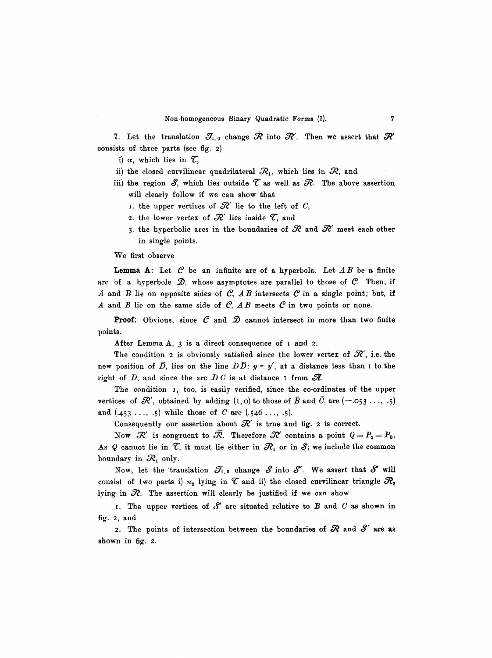7. Let the translation  $\mathcal{J}_{1,0}$  change  $\mathcal R$  into  $\mathcal R'$ . Then we assert that  $\mathcal R'$ consists of three parts (see fig. 2)

i)  $\pi$ , which lies in  $\mathcal{T}$ ,

- ii) the closed curvilinear quadrilateral  $R_1$ , which lies in  $R$ , and
- iii) the region  $S$ , which lies outside  $\mathcal T$  as well as  $\mathcal R$ . The above assertion will clearly follow if we can show that
	- I. the upper vertices of  $\mathcal{R}'$  lie to the left of C,
	- 2. the lower vertex of  $\mathcal{R}'$  lies inside  $\mathcal{T}$ , and
	- 3. the hyperbolic arcs in the boundaries of  $R$  and  $R'$  meet each other in single points.

We first observe

Lemma A: Let  $C$  be an infinite arc of a hyperbola. Let  $AB$  be a finite arc of a hyperbole  $\mathcal{D}$ , whose asymptotes are parallel to those of  $\mathcal{C}$ . Then, if A and B lie on opposite sides of  $C$ , AB intersects  $C$  in a single point; but, if A and B lie on the same side of  $C$ ,  $AB$  meets  $C$  in two points or none.

**Proof:** Obvious, since  $C$  and  $D$  cannot intersect in more than two finite points.

After Lemma A, 3 is a direct consequence of I and 2.

The condition 2 is obviously satisfied since the lower vertex of  $\mathcal{R}'$ , i.e. the new position of  $\overline{D}$ , lies on the line  $D\overline{D}$ :  $y = y'$ , at a distance less than I to the right of D, and since the arc D C is at distance I from  $\mathscr{R}$ .

The condition 1, too, is easily verified, since the co-ordinates of the upper vertices of  $\mathcal{R}'$ , obtained by adding  $(1,0)$  to those of  $\bar{B}$  and  $\bar{C}$ , are  $(-.053...,-5)$ and  $(.453...,-5)$  while those of C are  $(.546...,-5)$ .

Consequently our assertion about  $\mathcal{R}'$  is true and fig. 2 is correct.

Now  $\mathcal{R}'$  is congruent to  $\bar{\mathcal{R}}$ . Therefore  $\mathcal{R}'$  contains a point  $Q = P_2 = P_0$ . As Q cannot lie in  $\mathcal{T}$ , it must lie either in  $\mathcal{R}_1$  or in  $\mathcal{S}$ ; we include the common boundary in  $\mathcal{R}_1$  only.

Now, let the 'translation  $\mathcal{J}_{1,0}$  change  $\mathcal S$  into  $\mathcal S'$ . We assert that  $\mathcal S'$  will consist of two parts i)  $\pi_2$  lying in  $\mathcal T$  and ii) the closed curvilinear triangle  $\mathcal{R}_2$ lying in  $R$ . The assertion will clearly be justified if we can show

I. The upper vertices of  $S'$  are situated relative to B and C as shown in fig. 2, and

2. The points of intersection between the boundaries of  $R$  and  $S'$  are as shown in fig. 2.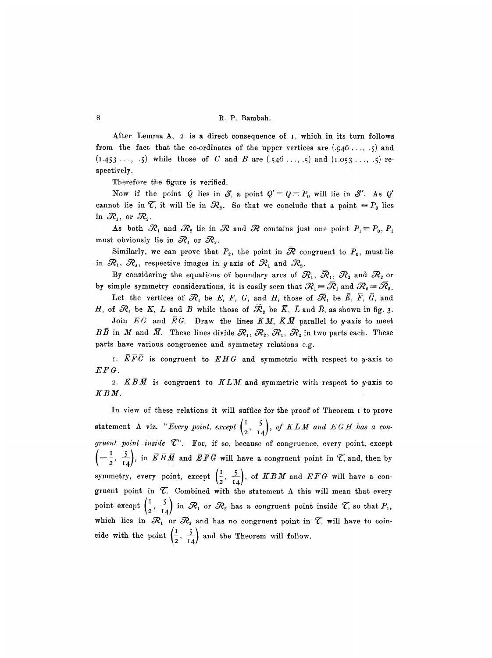After Lemma A, 2 is a direct consequence of I, which in its turn follows from the fact that the co-ordinates of the upper vertices are  $(.946..., .5)$  and  $(1.453...,-5)$  while those of C and B are  $(.546...,-5)$  and  $(1.053...,-5)$  respectively.

Therefore the figure is verified.

Now if the point Q lies in S, a point  $Q' \equiv Q \equiv P_0$  will lie in S'. As Q' cannot lie in  $\mathcal{T}$ , it will lie in  $\mathcal{R}_2$ . So that we conclude that a point  $\equiv P_0$  lies in  $\mathcal{R}_1$ , or  $\mathcal{R}_2$ .

As both  $\mathcal{R}_1$  and  $\mathcal{R}_2$  lie in  $\mathcal{R}$  and  $\mathcal{R}$  contains just one point  $P_1 \equiv P_0, P_1$ must obviously lie in  $\mathcal{R}_1$  or  $\mathcal{R}_2$ .

Similarly, we can prove that  $P_2$ , the point in  $\overline{\mathcal{R}}$  congruent to  $P_0$ , must lie in  $\mathcal{R}_1, \mathcal{R}_2$ , respective images in y-axis of  $\mathcal{R}_1$  and  $\mathcal{R}_2$ .

By considering the equations of boundary arcs of  $\mathcal{R}_1, \mathcal{R}_1, \mathcal{R}_2$  and  $\mathcal{R}_3$  or by simple symmetry considerations, it is easily seen that  $\mathcal{R}_1 = \overline{\mathcal{R}}_1$  and  $\mathcal{R}_2 = \overline{\mathcal{R}}_2$ .

Let the vertices of  $\mathcal{R}_1$  be E, F, G, and H, those of  $\overline{\mathcal{R}}_1$  be  $\overline{E}$ ,  $\overline{F}$ ,  $\overline{G}$ , and  $H$ , of  $\mathcal{R}_2$  be  $K$ ,  $L$  and  $B$  while those of  $\mathcal{R}_2$  be  $\bar{K}$ ,  $\bar{L}$  and  $\bar{B}$ , as shown in fig. 3.

Join  $EG$  and  $\bar{E}\bar{G}$ . Draw the lines  $KM$ ,  $\bar{K}\bar{M}$  parallel to y-axis to meet  $B\bar{B}~$  in  $M$  and  $\bar{M}$ . These lines divide  $\mathcal{R}_1,~\mathcal{R}_2,~\mathcal{R}_1,~\mathcal{R}_2$  in two parts each. These parts have various congruence and symmetry relations e.g.

*I.*  $\overline{E} \overline{F} \overline{G}$  is congruent to  $EHG$  and symmetric with respect to y-axis to *EFG.* 

2.  $\overline{K} \overline{B} \overline{M}$  is congruent to  $KLM$  and symmetric with respect to y-axis to *KBM.* 

In view of these relations it will suffice for the proof of Theorem I to prove statement A viz. "Every point, except  $\left(\frac{1}{2}, \frac{5}{14}\right)$ , of KLM and EGH has a con- $\emph{gruent point inside $\mathcal{T}$.}$  For, if so, because of congruence, every point, except  $\left(-\frac{I}{2}, \frac{5}{I4}\right)$ , in  $\overline{KBM}$  and  $\overline{EFG}$  will have a congruent point in  $\overline{\mathcal{C}}$ , and, then by symmetry, every point, except  $\left(\frac{1}{2}, \frac{5}{14}\right)$ , of *KBM* and *EFG* will have a congruent point in  $\mathcal T$ . Combined with the statement A this will mean that every point except  $\left(\frac{1}{2}, \frac{5}{14}\right)$  in  $\mathcal{R}_1$  or  $\mathcal{R}_2$  has a congruent point inside  $\mathcal{T}$ , so that  $P_1$ , which lies in  $\mathcal{R}_1$  or  $\mathcal{R}_2$  and has no congruent point in  $\mathcal{T}$ , will have to coincide with the point  $\left(\frac{1}{2}, \frac{5}{14}\right)$  and the Theorem will follow.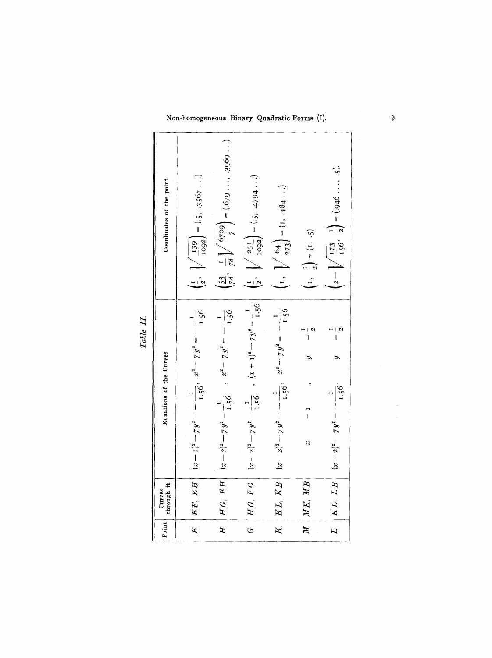| $\left(2-\sqrt{\frac{173}{156}},\ \frac{1}{2}\right)=(.946\ldots, .5).$<br>$\left(\frac{1}{2}, \sqrt{\frac{139}{1002}}\right) = (.5, .3567)$<br>$\frac{1}{2}$ , $\sqrt{\frac{251}{1092}}$ = (.5, .4794 )<br>Coordinates of the point<br>(1, $\left  \int \frac{64}{273} \right  = (1, 484 \ldots)$<br>$\left(1, \frac{1}{2}\right) = (1, .5)$<br>$(x-2)^2 - 7y^2 = \frac{1}{1.56}$ , $(x + 1)^2 - 7y^2 = \frac{1}{1.56}$<br>$(x-2)^2 - 7y^2 = -\frac{1}{1.56}$ , $x^2 - 7y^2 = -\frac{1}{1.56}$<br>$\frac{92.1}{1.56}$<br>$(x-1)^2 - 7y^2 = -\frac{1}{1.56}, \quad x^2 - 7y^2 = -\frac{1}{1.56}$<br>$(x-2)^2-7y^2=\frac{1}{1.56}$ , $x^2-7y^2=-\frac{1}{1}$<br>$\frac{1}{\sqrt{2}}$<br>$\frac{1}{4}$<br>Equations of the Curves<br>$(x - 2)^2 - 7y^2 = -\frac{1}{1.56}$<br>$\frac{1}{\pi}$<br>$\beta$<br>$M K$ , $M B$<br>H G, E H<br>KL, KB<br>$EF, \; EH$<br>KL, LB<br>H G, F G<br>Curves<br>through it<br>Point |              |  |                                                                          |
|--------------------------------------------------------------------------------------------------------------------------------------------------------------------------------------------------------------------------------------------------------------------------------------------------------------------------------------------------------------------------------------------------------------------------------------------------------------------------------------------------------------------------------------------------------------------------------------------------------------------------------------------------------------------------------------------------------------------------------------------------------------------------------------------------------------------------------------------------------------------------------------------------------------------|--------------|--|--------------------------------------------------------------------------|
|                                                                                                                                                                                                                                                                                                                                                                                                                                                                                                                                                                                                                                                                                                                                                                                                                                                                                                                    |              |  |                                                                          |
| $\overline{\mathbb{M}}$                                                                                                                                                                                                                                                                                                                                                                                                                                                                                                                                                                                                                                                                                                                                                                                                                                                                                            | $\mathbb{E}$ |  |                                                                          |
| $\overline{L}$<br>$\overline{\mathbb{X}}$<br>$\tilde{c}$                                                                                                                                                                                                                                                                                                                                                                                                                                                                                                                                                                                                                                                                                                                                                                                                                                                           | H            |  | $\left(\frac{53}{78}, \frac{1}{78}\right)^7 = (0.679 \dots, 3969 \dots)$ |
|                                                                                                                                                                                                                                                                                                                                                                                                                                                                                                                                                                                                                                                                                                                                                                                                                                                                                                                    |              |  |                                                                          |
|                                                                                                                                                                                                                                                                                                                                                                                                                                                                                                                                                                                                                                                                                                                                                                                                                                                                                                                    |              |  |                                                                          |
|                                                                                                                                                                                                                                                                                                                                                                                                                                                                                                                                                                                                                                                                                                                                                                                                                                                                                                                    |              |  |                                                                          |
|                                                                                                                                                                                                                                                                                                                                                                                                                                                                                                                                                                                                                                                                                                                                                                                                                                                                                                                    |              |  |                                                                          |

*Table IL* 

on-homogeneous Binary Quadratic Forms (I)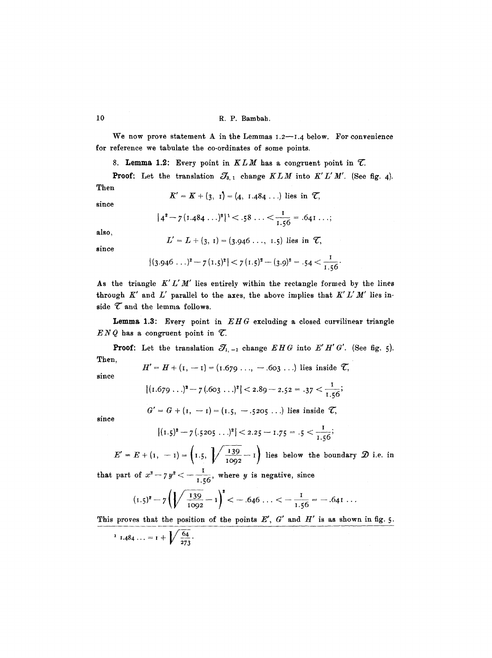#### 10 R.P. Bambah.

We now prove statement A in the Lemmas  $1.2$ --1.4 below. For convenience for reference we tabulate the co-ordinates of some points.

8. Lemma 1.2: Every point in  $KLM$  has a congruent point in  $\mathcal{T}$ .

**Proof:** Let the translation  $\mathcal{J}_{3, 1}$  change  $KLM$  into  $K'L'M'$ . (See fig. 4). Then

$$
K' = K + (3, 1) = (4, 1.484...)
$$
 lies in  $\mathcal{T}$ ,

since

$$
|4^2 - 7(1.484...)^2|^{1} < .58... < \frac{1}{1.56} = .641...
$$

also,

$$
L' = L + (3, 1) = (3.946 \ldots, 1.5)
$$
 lies in  $\mathcal{T}$ ,

since

$$
|(3.946...)^{2}-7(1.5)^{2}|<7(1.5)^{2}-(3.9)^{2}=.54<\frac{1}{1.56}.
$$

As the triangle  $K' L'M'$  lies entirely within the rectangle formed by the lines through  $K'$  and  $L'$  parallel to the axes, the above implies that  $K'L'M'$  lies inside  $\mathcal T$  and the lemma follows.

**Lemma** 1.3: Every point in *EHG* excluding a closed curvilinear triangle  $ENQ$  has a congruent point in  $Z$ .

**Proof:** Let the translation  $\mathcal{J}_{1,-1}$  change  $EHG$  into  $E'H'G'$ . (See fig. 5). Then,

$$
H' = H + (1, -1) = (1.679 \ldots, -.663 \ldots)
$$
 lies inside  $\mathcal{T}$ ,

$$
|(1.679...)^2 - 7(.603...)^2| < 2.89 - 2.52 = .37 < \frac{1}{1.56}
$$

 $G' = G + (I, -I) = (I.5, -.5205...)$  lies inside  $\mathcal{T},$ 

since

since

$$
|(1.5)^2 - 7(.5205...)^2|
$$
 < 2.25 - 1.75 = .5  $\lt$   $\frac{1}{1.56}$ ;

 $(1, -1) = \left(1.5, \sqrt{\frac{139}{1092} - 1}\right)$  lies below the boundary  $\mathcal{D}$  i.e. in

that part of  $x^2 - 7y^2 < -\frac{1}{155}$ , where y is negative, since

$$
(1.5)^{2} - 7\left(\sqrt{\frac{139}{1092}} - 1\right)^{2} < -0.646 \ldots < -\frac{1}{1.56} = -0.641 \ldots
$$

This proves that the position of the points  $E'$ ,  $G'$  and  $H'$  is as shown in fig. 5.

$$
1 I.484... = I + \sqrt{\frac{64}{273}}.
$$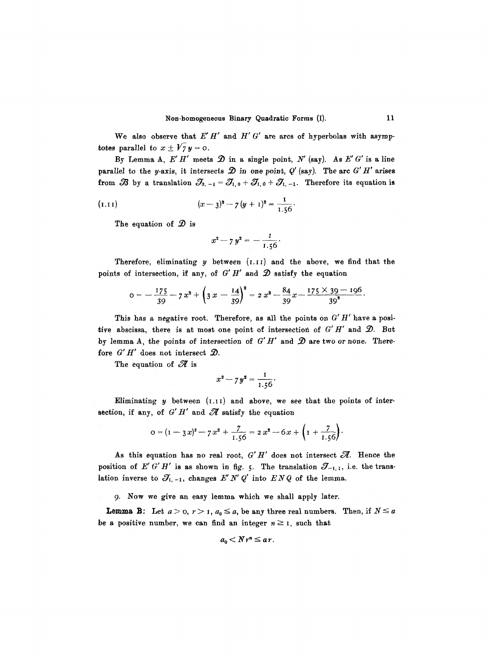We also observe that  $E'H'$  and  $H' G'$  are arcs of hyperbolas with asymptotes parallel to  $x \pm \sqrt{7} y = 0$ .

By Lemma A,  $E'H'$  meets  $\mathcal D$  in a single point,  $N'$  (say). As  $E' G'$  is a line parallel to the y-axis, it intersects  $\mathcal D$  in one point,  $Q'$  (say). The arc  $G' H'$  arises from  $\mathscr B$  by a translation  $\mathscr T_{3,-1} = \mathscr T_{1,0} + \mathscr T_{1,0} + \mathscr T_{1,-1}$ . Therefore its equation is

(1.11) 
$$
(x-3)^2 - 7(y+1)^2 = \frac{1}{1.56}.
$$

The equation of  $\mathcal D$  is

$$
x^2 - 7 y^2 = -\frac{1}{1.56}.
$$

Therefore, eliminating  $y$  between  $(1.11)$  and the above, we find that the points of intersection, if any, of  $G'H'$  and  $\mathcal D$  satisfy the equation

$$
o=-\frac{175}{39}-7x^2+\left(3x-\frac{14}{39}\right)^2=2x^2-\frac{84}{39}x-\frac{175\times39-196}{39^2}.
$$

This has a negative root. Therefore, as all the points on  $G' H'$  have a positive abscissa, there is at most one point of intersection of  $G'H'$  and  $\mathcal{D}$ . But by lemma A, the points of intersection of  $G'H'$  and  $\mathcal D$  are two or none. Therefore  $G'H'$  does not intersect  $\mathcal{D}$ .

The equation of  $\mathscr X$  is

$$
x^2 - 7y^2 = \frac{1}{1.56}.
$$

Eliminating  $y$  between  $(1.11)$  and above, we see that the points of intersection, if any, of  $G'H'$  and  $\mathscr A$  satisfy the equation

$$
o = (1 - 3x)^{2} - 7x^{2} + \frac{7}{1.56} = 2x^{2} - 6x + \left(1 + \frac{7}{1.56}\right).
$$

As this equation has no real root,  $G'H'$  does not intersect  $\mathcal A$ . Hence the position of E' *G' H'* is as shown in fig. 5. The translation  $\mathcal{J}_{-1,1}$ , i.e. the translation inverse to  $\mathcal{J}_{1,-1}$ , changes  $E' N' Q'$  into  $E N Q$  of the lemma.

9. Now we give an easy lemma which we shail apply later.

**Lemma B:** Let  $a > 0$ ,  $r > 1$ ,  $a_0 \le a$ , be any three real numbers. Then, if  $N \le a$ be a positive number, we can find an integer  $n \geq 1$ , such that

$$
a_0 < N r^n \leq a r.
$$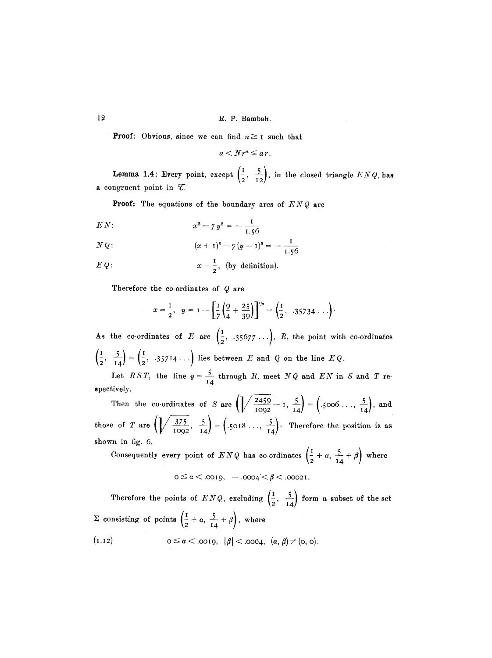**Proof:** Obvious, since we can find  $n \geq 1$  such that

$$
a < N r^n \leq a r.
$$

**Lemma 1.4:** Every point, except  $\left(\frac{1}{2}, \frac{5}{12}\right)$ , in the closed triangle  $ENQ$ , has a congruent point in  $\mathcal{T}$ .

Proof: The equations of the boundary arcs of *ENQ* are

$$
EN: \t x2 - 7 y2 = -\frac{1}{1.56}
$$

$$
N Q: \t (x + 1)2 - 7 (y - 1)2 = -\frac{1}{1.56}
$$

$$
E Q: \qquad \qquad x = \frac{1}{2}, \text{ (by definition)}.
$$

Therefore the co-ordinates of Q are

$$
x = \frac{1}{2}
$$
,  $y = 1 - \left[\frac{1}{7}\left(\frac{9}{4} + \frac{25}{39}\right)\right]^{1/2} = \left(\frac{1}{2}, .35734... \right)$ .

 $\sqrt{1}$   $\sqrt{1}$ As the co-ordinates of E are  $\{\frac{1}{2}, .35677 \ldots\}$ , R, the point with co-ordinates  $\left(\frac{1}{2}, \frac{5}{11}\right) = \left(\frac{1}{2}, .35714\ldots\right)$  lies between *E* and *Q* on the line *EQ*.

Let  $RST$ , the line  $y = \frac{3}{14}$  through *R*, meet  $NQ$  and *EN* in *S* and *T* respectively.

Then the co-ordinates of S are  $\left(\sqrt{\frac{2459}{1092}} - 1, \frac{5}{14}\right) = \left(.5006 \ldots, \frac{5}{14}\right)$ , and those of T are  $\left(\sqrt{\frac{375}{1092}}, \frac{5}{14}\right) = \left(.5018\ldots, \frac{5}{14}\right)$ . Therefore the position is as shown in fig. 6.

Consequently every point of  $ENQ$  has co-ordinates  $\left(\frac{I}{2} + \alpha, \frac{5}{14} + \beta\right)$  where  $0 \le \alpha < .0019, -0004 < \beta < .00021.$ 

Therefore the points of  $ENQ$ , excluding  $\left(\frac{1}{2}, \frac{5}{14}\right)$  form a subset of the set  $\Sigma$  consisting of points  $\left(\frac{1}{2} + \alpha, \frac{5}{14} + \beta\right)$ , where (1.12)  $0 \le \alpha < .0019, \ |\beta| < .0004, \ (\alpha, \beta) \ne (0, 0).$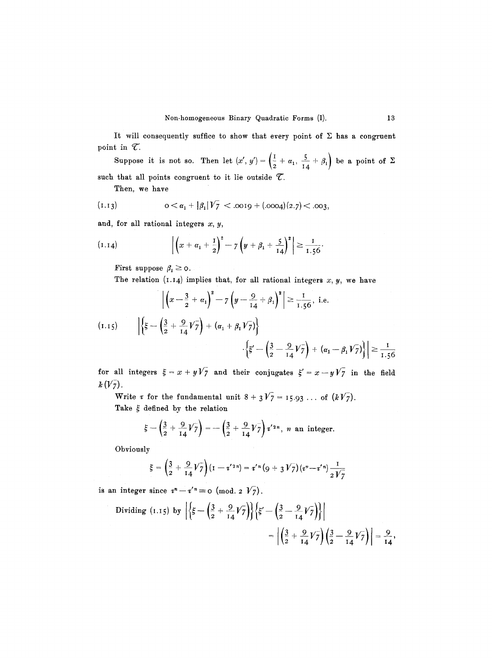It will consequently suffice to show that every point of  $\Sigma$  has a congruent point in  $\mathcal{T}$ .

Suppose it is not so. Then let  $(x', y') = \left(\frac{1}{2} + \alpha_1, \frac{5}{2} + \beta_1\right)$  be a point of  $\Sigma$ such that all points congruent to it lie outside  $\mathcal{T}$ .

Then, we have

(1.13) 
$$
0 < \alpha_1 + |\beta_1| \sqrt{7} < .0019 + (.0004)(2.7) < .003
$$
,

and, for all rational integers  $x, y$ ,

(1.14) 
$$
\left| \left( x + \alpha_1 + \frac{1}{2} \right)^2 - 7 \left( y + \beta_1 + \frac{5}{14} \right)^2 \right| \ge \frac{1}{1.56}
$$

First suppose  $\beta_1 \geq \circ$ .

The relation (1.14) implies that, for all rational integers  $x, y$ , we have

$$
\left| \left( x - \frac{3}{2} + \alpha_1 \right)^2 - 7 \left( y - \frac{9}{14} + \beta_1 \right)^2 \right| \ge \frac{1}{1.56}, \text{ i.e.}
$$

$$
(1.15) \qquad \left| \left\{ \xi - \left( \frac{3}{2} + \frac{9}{14} V_7 \right) + \left( \alpha_1 + \beta_1 V_7 \right) \right\} \right|
$$

$$
\left| \left\{ \xi' - \left( \frac{3}{2} - \frac{9}{14} V_7 \right) + \left( \alpha_1 - \beta_1 V_7 \right) \right\} \right| \ge \frac{1}{1.56}
$$

for all integers  $\xi = x+yV_7$  and their conjugates  $\xi' = x-yV_7$  in the field  $k(V_7)$ .

Write  $\tau$  for the fundamental unit  $8 + 3\sqrt{7} = 15.93 \ldots$  of  $(k\sqrt{7})$ . Take  $\xi$  defined by the relation

$$
\xi - \left(\frac{3}{2} + \frac{9}{14}V_7\right) = -\left(\frac{3}{2} + \frac{9}{14}V_7\right)\tau'^{2n}
$$
, *n* an integer.

Obviously

$$
\xi = \left(\frac{3}{2} + \frac{9}{14}V_7\right)(1 - t'^{2n}) = t'^n\left(9 + 3V_7\right)(t^n - t'^n)\frac{1}{2V_7}
$$

is an integer since  $r^n - r'^n \equiv o \pmod{2 V_7}$ .

Dividing (I.15) by 
$$
\left| \left\{ \xi - \left( \frac{3}{2} + \frac{9}{14} V_7 \right) \right\} \left\{ \xi' - \left( \frac{3}{2} - \frac{9}{14} V_7 \right) \right\} \right|
$$
  
=  $\left| \left( \frac{3}{2} + \frac{9}{14} V_7 \right) \left( \frac{3}{2} - \frac{9}{14} V_7 \right) \right| = \frac{9}{14}$ ,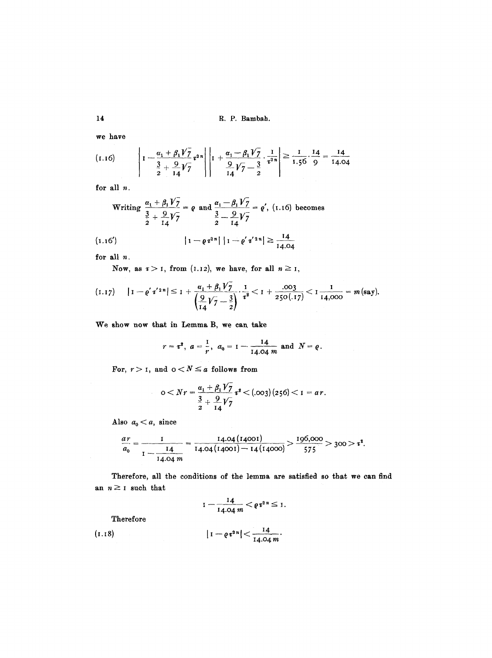**14** R. P. Bambah.

we have

$$
(1.16) \t\t\t $\left| 1 - \frac{\alpha_1 + \beta_1 V \overline{7}}{\frac{3}{2} + \frac{9}{14} V \overline{7}} \tau^{2n} \right| \left| 1 + \frac{\alpha_1 - \beta_1 V \overline{7}}{\frac{9}{14} V \overline{7} - \frac{3}{2}} \cdot \frac{1}{\tau^{2n}} \right| \ge \frac{1}{1.56} \cdot \frac{14}{9} = \frac{14}{14.04}$
$$

for all n.

Writing 
$$
\frac{\alpha_1 + \beta_1 V_7}{\frac{3}{2} + \frac{9}{14}V_7} = \rho
$$
 and  $\frac{\alpha_1 - \beta_1 V_7}{\frac{3}{2} - \frac{9}{14}V_7} = \rho'$ , (1.16) becomes

$$
(1.16') \t\t\t |1 - \varrho \tau^{2n}| |1 - \varrho' \tau'^{2n}| \geq \frac{14}{14.04}
$$

for all  $n$ .

Now, as  $\tau > 1$ , from (1.12), we have, for all  $n \ge 1$ ,

$$
(1.17) \qquad |1 - \varrho' \tau'^{2n}| \leq 1 + \frac{\alpha_1 + \beta_1 V_7}{\left(\frac{9}{14}V_7 - \frac{3}{2}\right)} \cdot \frac{1}{\tau^2} < 1 + \frac{.003}{250(.17)} < 1 - \frac{1}{14,000} = m \text{ (say)}.
$$

We show now that in Lemma B, we can take

$$
r = \tau^2
$$
,  $a = \frac{1}{r}$ ,  $a_0 = 1 - \frac{14}{14.04 m}$  and  $N = \varrho$ .

For,  $r > 1$ , and  $0 < N \le a$  follows from

$$
0 < Nr = \frac{\alpha_1 + \beta_1 V_7}{\frac{3}{2} + \frac{9}{14} V_7} \tau^2 < (\text{.003}) (256) < I = ar.
$$

Also  $a_0 < a$ , since

$$
\frac{ar}{a_0} = \frac{1}{1 - \frac{14}{14.04} \frac{14.04 (14001)}{14.04 (14001) - 14 (14000)}} > \frac{196,000}{575} > 300 > t^2.
$$

Therefore, all the conditions of the lemma are satisfied so that we can find an  $n \geq 1$  such that

$$
1-\frac{14}{14.04 m}<\rho\tau^{2n}\leq 1.
$$

Therefore

(1.18) 
$$
|1 - \varrho \, \tau^{2n}| < \frac{14}{14.04 \, m}.
$$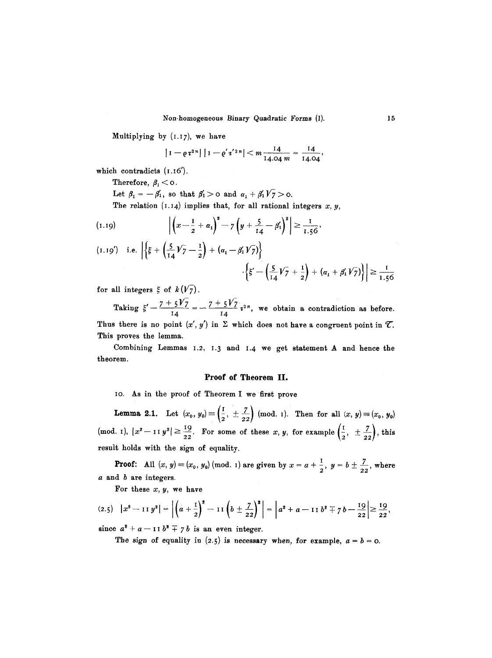Multiplying by  $(1.17)$ , we have

$$
\left|1-\varrho\,\tau^{2\,n}\right|\,\left|1-\varrho'\,\tau^{'2\,n}\right|<\,m\,\frac{14}{14.04\,m}=\frac{14}{14.04},
$$

which contradicts  $(1.16')$ .

Therefore,  $\beta_1$  < 0.

Let  $\beta_1=-\beta_1'$ , so that  $\beta_1'>0$  and  $\alpha_1+\beta_1'\sqrt{7}>0$ .

The relation  $(1.14)$  implies that, for all rational integers  $x, y$ ,

(1.19) 
$$
\left| \left( x - \frac{1}{2} + \alpha_1 \right)^2 - 7 \left( y + \frac{5}{14} - \beta_1 \right)^2 \right| \ge \frac{1}{1.56},
$$
  
(1.19') i.e. 
$$
\left| \left\{ \xi + \left( \frac{5}{14} \gamma \right) - \frac{1}{2} \right\} + \left( \alpha_1 - \beta_1' \gamma \right) \right\} \right|
$$

$$
\left| \left\langle \xi' - \left( \frac{5}{14} \sqrt{7} + \frac{1}{2} \right) + \left( \alpha_1 + \beta_1' \sqrt{7} \right) \right\rangle \right| \geq \frac{1}{1.56}
$$

for all integers  $\xi$  of  $k(V_7)$ .

Taking  $\xi' - \frac{(-5)^2}{14} = -\frac{(-5)^2}{14} i^2$ , we obtain a contradiction as before. Thus there is no point  $(x', y')$  in  $\Sigma$  which does not have a congruent point in  $\mathcal{T}$ . This proves the lemma.

Combining Lemmas 1.2, 1.3 and 1.4 we get statement A and hence the theorem.

#### Proof **of Theorem** II.

io. As in the proof of Theorem I we first prove

**Lemma 2.1.** Let  $(x_0, y_0) \equiv \left(\frac{1}{2}, \pm \frac{1}{22}\right)$  (mod. 1). Then for all  $(x, y) \equiv (x_0, y_0)$ *i*),  $|x^2 - 11y^2| \ge \frac{19}{22}$ . For some of these x, y, for example  $\left(\frac{1}{2}, \pm \frac{7}{22}\right)$ , result holds with the sign of equality.

**Proof:** All  $(x, y) \equiv (x_0, y_0) \pmod{1}$  are given by  $x = a + \frac{1}{2}$ ,  $y = b \pm \frac{7}{22}$ , where a and b are integers.

For these  $x, y$ , we have

$$
(2.5) \quad |x^2 - 11y^2| = \left| \left( a + \frac{1}{2} \right)^2 - 11 \left( b \pm \frac{7}{22} \right)^2 \right| = \left| a^2 + a - 11 b^2 \mp 7 b - \frac{19}{22} \right| \ge \frac{19}{22},
$$

since  $a^2 + a - 11 b^2 + 7 b$  is an even integer.

The sign of equality in (2.5) is necessary when, for example,  $a = b = 0$ .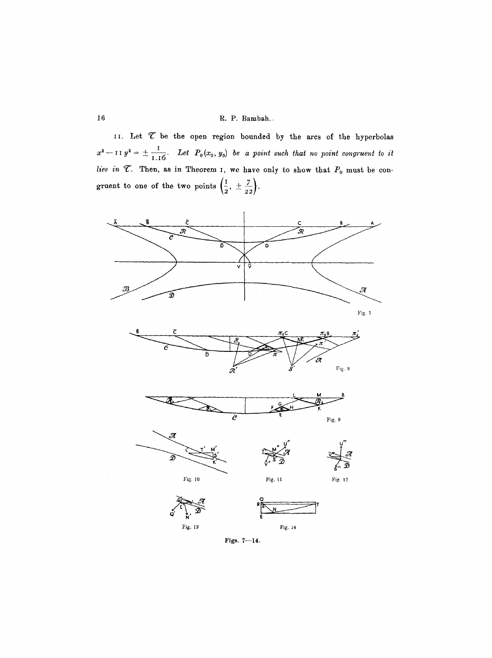# 16 R.P. **Bambah..**

II. Let  $\mathcal T$  be the open region bounded by the arcs of the hyperbolas  $x^2 - 11y^2 = \pm \frac{1}{1.5}$ . Let  $P_0(x_0, y_0)$  be a point such that no point congruent to it lies in  $\mathcal{T}$ . Then, as in Theorem I, we have only to show that  $P_0$  must be congruent to one of the two points  $\left(\frac{1}{2},\pm\frac{7}{22}\right)$ .



Figs. 7-14.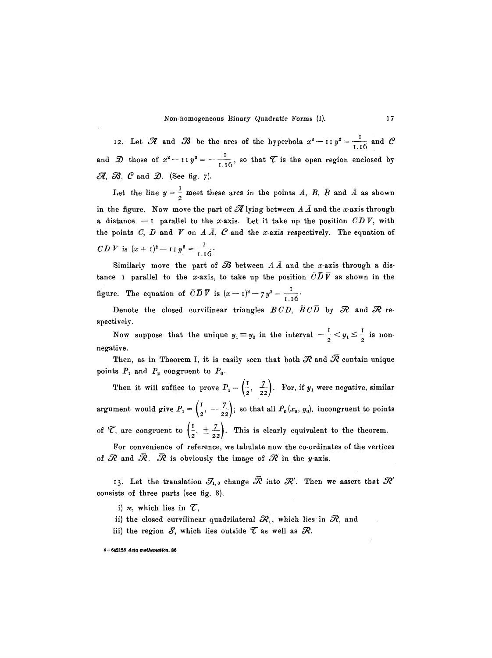12. Let  $\mathscr R$  and  $\mathscr B$  be the arcs of the hyperbola  $x^2$  - II  $y^2 = \frac{1}{1.16}$  and  $\mathscr C$ and  $\mathcal D$  those of  $x^2 - 11 y^2 = -\frac{1}{1.16}$ , so that  $\mathcal T$  is the open region enclosed by  $\mathscr{A}, \mathscr{B}, \mathscr{C}$  and  $\mathscr{D}.$  (See fig. 7).

Let the line  $y = \frac{1}{2}$  meet these arcs in the points A, B, B and  $\overline{A}$  as shown in the figure. Now move the part of  $\mathscr A$  lying between  $A \bar A$  and the x-axis through a distance  $-1$  parallel to the x-axis. Let it take up the position  $CDV$ , with the points C, D and V on A  $\bar{A}$ , C and the x-axis respectively. The equation of  $CD V$  is  $(x + 1)^2 - 11 y^2 = \frac{1}{1.16}$ .

Similarly move the part of  $\mathcal B$  between  $A\overline{A}$  and the x-axis through a distance I parallel to the x-axis, to take up the position  $\overline{C}\overline{D}\overline{V}$  as shown in the figure. The equation of  $\overline{CD} \ \overline{V}$  is  $(x-1)^2 - 7y^2 = \frac{1}{1.16}$ .

Denote the closed curvilinear triangles  $BCD$ ,  $\overline{B} \, \bar{C} \overline{D}$  by  $\mathcal R$  and  $\overline{\mathcal R}$  respectively.

Now suppose that the unique  $y_1 \equiv y_0$  in the interval  $-\frac{1}{2} < y_1 \le \frac{1}{2}$  is nonnegative.

Then, as in Theorem I, it is easily seen that both  $\mathcal R$  and  $\overline{\mathcal R}$  contain unique points  $P_1$  and  $P_2$  congruent to  $P_0$ .

Then it will suffice to prove  $P_1 = \begin{pmatrix} 1 & 7 \\ 2 & 22 \end{pmatrix}$ . For, if  $y_1$  were negative, similar argument would give  $P_1=\left(\frac{1}{2}, -\frac{7}{22}\right)$ ; so that all  $P_0(x_0, y_0)$ , incongruent to points of  $\mathcal{T}$ , are congruent to  $\left(\frac{1}{2}, \pm \frac{7}{22}\right)$ . This is clearly equivalent to the theorem.

For convenience of reference, we tabulate now the co-ordinates of the vertices of  $\mathcal R$  and  $\bar{\mathcal R}$ .  $\bar{\mathcal R}$  is obviously the image of  $\mathcal R$  in the y-axis.

13. Let the translation  $\mathcal{J}_{1,0}$  change  $\bar{\mathcal{R}}$  into  $\mathcal{R}'$ . Then we assert that  $\mathcal{R}'$ consists of three parts (see fig. 8),

i)  $\pi$ , which lies in  $\mathcal{T}$ ,

ii) the closed curvilinear quadrilateral  $\mathcal{R}_1$ , which lies in  $\mathcal{R}_2$ , and

iii) the region  $S$ , which lies outside  $\mathcal T$  as well as  $\mathcal R$ .

 $4-642128$  Acta mathematica. 86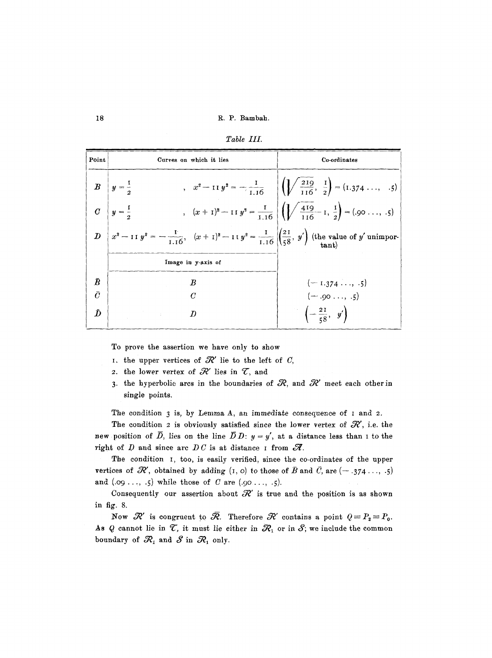| Point     | Curves on which it lies                                                                                                                    | Co-ordinates                                                                                                               |  |  |
|-----------|--------------------------------------------------------------------------------------------------------------------------------------------|----------------------------------------------------------------------------------------------------------------------------|--|--|
|           | $B\left y=\frac{1}{2}\right $                                                                                                              | , $x^2 - 11 y^2 = -\frac{1}{1.16}$ $\left  \left( \sqrt{\frac{219}{116}}, \frac{1}{2} \right) = (1.374 \dots, .5) \right $ |  |  |
|           | $C\left y=\frac{1}{2}\right $                                                                                                              | $(x + 1)^2 - 11 y^2 = \frac{1}{1.16} \left( \sqrt{\frac{419}{116}} - 1, \frac{1}{2} \right) = (.90 \ldots, .5)$            |  |  |
|           | $D\left[x^2-11\ y^2=-\frac{1}{1.16}, (x+1)^2-11\ y^2=\frac{1}{1.16}\left \left(\frac{21}{58}, y'\right) \right $ (the value of y' unimpor- |                                                                                                                            |  |  |
|           | Image in y-axis of                                                                                                                         |                                                                                                                            |  |  |
| $\bar{B}$ | $\bm{B}$                                                                                                                                   | $(-1.374,-5)$                                                                                                              |  |  |
| $\bar{C}$ | $\boldsymbol{C}$                                                                                                                           | $(-.90,.5)$                                                                                                                |  |  |
| Đ         | $\bm{D}$                                                                                                                                   | $\left(-\frac{21}{58}, y'\right)$                                                                                          |  |  |

*Table III.* 

To prove the assertion we have only to show

- I. the upper vertices of  $\mathcal{R}'$  lie to the left of C,
- 2. the lower vertex of  $\mathcal{R}'$  lies in  $\mathcal{T}$ , and
- 3. the hyperbolic arcs in the boundaries of  $R$ , and  $R'$  meet each other in single points.

The condition  $3$  is, by Lemma A, an immediate consequence of  $1$  and  $2$ .

The condition 2 is obviously satisfied since the lower vertex of  $\mathcal{R}'$ , i.e. the new position of  $\overline{D}$ , lies on the line  $\overline{D}D: y = y'$ , at a distance less than I to the right of  $D$  and since arc  $DC$  is at distance I from  $\mathscr{R}$ .

The condition 1, too, is easily verified, since the co-ordinates of the upper vertices of  $\mathcal{R}'$ , obtained by adding  $(I, o)$  to those of  $\bar{B}$  and  $\bar{C}$ , are  $(-.374...$ , .5) and  $(0.09...,-5)$  while those of C are  $(0.90...,-5)$ .

Consequently our assertion about  $\mathcal{R}'$  is true and the position is as shown in fig. 8.

Now  $\mathcal{R}'$  is congruent to  $\bar{\mathcal{R}}$ . Therefore  $\mathcal{R}'$  contains a point  $Q = P_2 = P_0$ . As Q cannot lie in  $\mathcal{T}$ , it must lie either in  $\mathcal{R}_1$  or in  $\mathcal{S}$ ; we include the common boundary of  $\mathcal{R}_1$  and  $\mathcal{S}$  in  $\mathcal{R}_1$  only.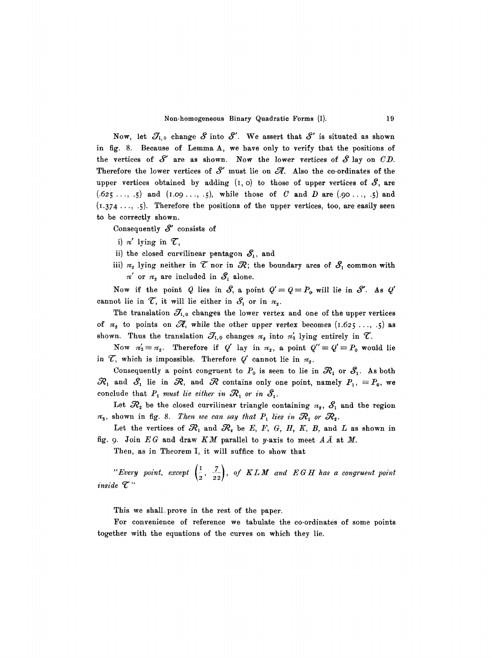Now, let  $\mathcal{J}_{1,0}$  change  $S$  into  $S'$ . We assert that  $S'$  is situated as shown in fig. 8. Because of Lemma A, we have only to verify that the positions of the vertices of  $S'$  are as shown. Now the lower vertices of  $S$  lay on  $CD$ . Therefore the lower vertices of  $S'$  must lie on  $\mathscr A$ . Also the co-ordinates of the upper vertices obtained by adding  $(I, o)$  to those of upper vertices of  $S$ , are  $(.625...,-5)$  and  $(1.09...,-5)$ , while those of C and D are  $(.90...,-5)$  and (I.374..., .5). Therefore the positions of the upper vertices, too, are easily seen to be correctly shown.

Consequently  $S'$  consists of

- i)  $\pi'$  lying in  $\mathcal{T}$ ,
- ii) the closed curvilinear pentagon  $S_1$ , and
- iii)  $\pi_2$  lying neither in  $\mathcal T$  nor in  $\mathcal R$ ; the boundary arcs of  $\mathcal S_1$  common with  $\pi'$  or  $\pi_2$  are included in  $S_1$  alone.

Now if the point Q lies in S, a point  $Q' = Q = P_0$  will lie in S'. As Q' cannot lie in  $\mathcal{T}$ , it will lie either in  $\mathcal{S}_1$  or in  $\pi_2$ .

The translation  $\mathcal{J}_{1,0}$  changes the lower vertex and one of the upper vertices of  $\pi_2$  to points on  $\mathscr{A}$ , while the other upper vertex becomes  $(1.625 \ldots, .5)$  as shown. Thus the translation  $\mathcal{J}_{1,0}$  changes  $\pi_2$  into  $\pi_2'$  lying entirely in  $\mathcal{T}$ .

Now  $\pi'_2 \equiv \pi_2$ . Therefore if *Q'* lay in  $\pi_2$ , a point  $Q'' \equiv Q' \equiv P_0$  would lie in  $\mathcal{T}$ , which is impossible. Therefore  $Q'$  cannot lie in  $\pi_{2}$ .

Consequently a point congruent to  $P_0$  is seen to lie in  $\mathcal{R}_1$  or  $\mathcal{S}_1$ . As both  $\mathcal{R}_1$  and  $\mathcal{S}_1$  lie in  $\mathcal{R}_2$ , and  $\mathcal{R}_3$  contains only one point, namely  $P_1, \equiv P_0$ , we conclude that  $P_1$  must lie either in  $\mathcal{R}_1$  or in  $\mathcal{S}_1$ .

Let  $\mathcal{R}_2$  be the closed curvilinear triangle containing  $\pi_2$ ,  $\mathcal{S}_1$  and the region  $\pi_3$ , shown in fig. 8. Then we can say that  $P_1$  lies in  $\mathcal{R}_1$  or  $\mathcal{R}_2$ .

Let the vertices of  $\mathcal{R}_1$  and  $\mathcal{R}_2$  be E, F, G, H, K, B, and L as shown in fig. 9. Join  $EG$  and draw  $KM$  parallel to y-axis to meet  $A\bar{A}$  at  $M$ .

Then, as in Theorem I, it will suffice to show that

"Every point, except  $\left(\frac{1}{2}, \frac{7}{22}\right)$ , of KLM and EGH has a congruent point  $i$ *nside*  $\mathcal{T}$ "

This we shall prove in the rest of the paper.

For convenience of reference we tabulate the co-ordinates of some points together with the equations of the curves on which they lie.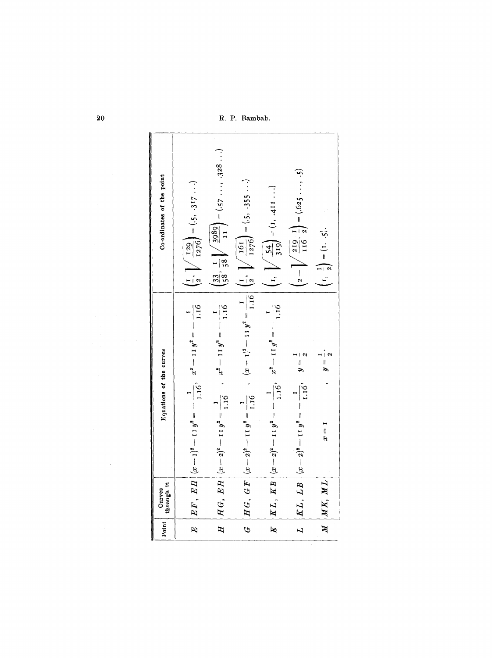R. P. Bambah.

| Co-ordinates of the point | $\left(\frac{1}{2}, \sqrt{\frac{129}{1276}}\right) = (.5, .317)$ | $\left(\frac{33}{58}, \frac{1}{58}\right) \left(\frac{3989}{11}\right) = (57 \dots, 328 \dots)$ |                                                                                                                           | $\left(1, \ \sqrt{\frac{54}{319}}\right) = (1, 411 \ldots)$     | $\left(2-\sqrt{\frac{219}{116}},\frac{1}{2}\right) = (625\cdots,5)$ | $\left(1, \frac{1}{2}\right) = (1, .5).$ |
|---------------------------|------------------------------------------------------------------|-------------------------------------------------------------------------------------------------|---------------------------------------------------------------------------------------------------------------------------|-----------------------------------------------------------------|---------------------------------------------------------------------|------------------------------------------|
| Equations of the curves   | $(x-1)^2-11y^2=-\frac{1}{1.16}, \quad x^2-11y^2=-\frac{1}{1.16}$ | $(x-2)^2-11 y^2=\frac{1}{1.16}$ , $x^2-11 y^2=-\frac{1}{1.16}$                                  | $(x-2)^2-11y^2=\frac{1}{1.16}$ , $(x+1)^2-11y^2=\frac{1}{1.16}\left(\frac{1}{2},\sqrt{\frac{161}{1276}}\right)=(.5,.355)$ | $(x-2)^2-11 y^2=-\frac{1}{1.16}$ , $x^2-11 y^2=-\frac{1}{1.16}$ | $(x-z)^2 - 11 y^2 = -\frac{1}{1.16}$ , $y = \frac{1}{2}$            | $y=\frac{1}{2}$ .<br>$x = 1$             |
| through it<br>Curves      | EF, EH                                                           | HG, EH                                                                                          | $HG, \; GF$                                                                                                               | KL, KB                                                          | KL, LB                                                              | $M \mid MK, ML$                          |
| Point                     | $\mathbf{E}$                                                     | $\overline{H}$                                                                                  | Ĝ,                                                                                                                        | $\overline{\mathbf{K}}$                                         | $\overline{L}$                                                      |                                          |

 $20~$ 

 $\mathcal{L}(\mathcal{A})$  and  $\mathcal{L}(\mathcal{A})$ 

 $\sim 10$ 

 $\sim 10^7$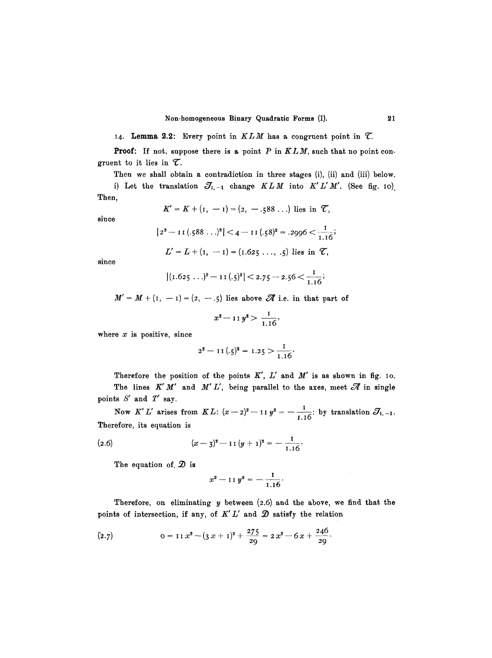14. **Lemma 2.2:** Every point in  $KLM$  has a congruent point in  $\mathcal{T}$ .

**Proof:** If not, suppose there is a point P in  $KLM$ , such that no point congruent to it lies in  $\mathcal{T}$ .

Then we shall obtain a contradiction in three stages (i), (ii) and (iii) below.

i) Let the translation  $J_{1,-1}$  change  $KLM$  into  $K'L'M'$ . (See fig. 10). Then,

$$
K' = K + (1, -1) = (2, -.588...)
$$
 lies in  $\mathcal{T}$ ,

since

$$
|2^2 - \text{II}(.588...)^2| < 4 - \text{II}(.58)^2 = .2996 < \frac{1}{1.16};
$$

 $L' = L + (I, -I) = (I.625..., .5)$  lies in  $\mathcal{T}$ ,

since

$$
|(1.625...)^{2}-11(.5)^{2}|
$$
 < 2.75 - 2.56  $\lt \frac{1}{1.16}$ ;

 $M' = M + (I, -I) = (2, -.5)$  lies above  $\mathscr A$  i.e. in that part of

$$
x^2 - 11 y^2 > \frac{1}{1.16},
$$

where  $x$  is positive, since

$$
2^2-1\,I\,(.\xi)^2=1.2\,\xi>\frac{I}{1.16}.
$$

Therefore the position of the points  $K'$ ,  $L'$  and  $M'$  is as shown in fig. 10. The lines  $K' M'$  and  $M' L'$ , being parallel to the axes, meet  $\mathscr A$  in single points S' and *T'* say.

Now K'L' arises from KL:  $(x-z)^2 - 11 y^2 = -\frac{1}{1.16}$ : by translation  $\mathcal{E}$ Therefore, its equation is

(2.6) 
$$
(x-3)^2 - 11(y+1)^2 = -\frac{1}{1.16}.
$$

The equation of,  $\mathcal{D}$  is

$$
x^2 - 11 y^2 = -\frac{1}{1.16}.
$$

Therefore, on eliminating  $y$  between  $(2.6)$  and the above, we find that the points of intersection, if any, of  $K'L'$  and  $D$  satisfy the relation

(2.7) 
$$
o = I I x^2 - (3 x + I)^2 + \frac{275}{29} = 2 x^2 - 6 x + \frac{246}{29}.
$$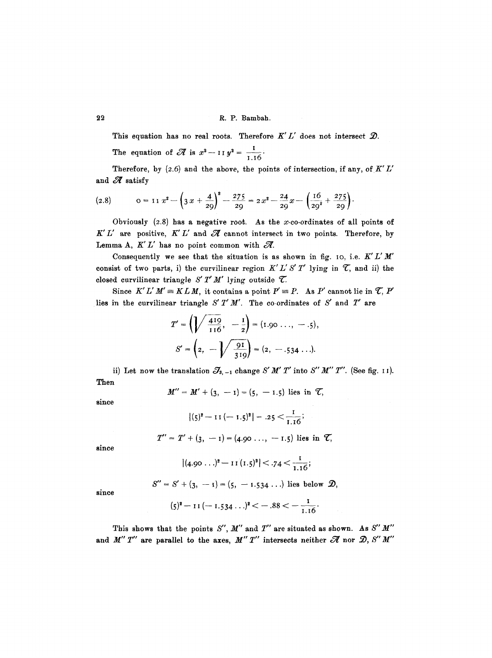## **22** R. P. Bambah.

This equation has no real roots. Therefore  $K'L'$  does not intersect  $\mathcal{D}$ .

The equation of  $\mathcal{U}$  is  $x^2 - 11y^2 = \frac{1}{1.16}$ 

Therefore, by  $(2.6)$  and the above, the points of intersection, if any, of  $K'L'$ and  $\mathscr A$  satisfy

$$
(2.8) \t 0 = I1 \t x2 - \left(3 \t x + \frac{4}{29}\right)^{2} - \frac{275}{29} = 2 \t x^{2} - \frac{24}{29} \t x - \left(\frac{16}{29^{2}} + \frac{275}{29}\right).
$$

Obviously  $(2.8)$  has a negative root. As the x-co-ordinates of all points of  $K'L'$  are positive,  $K'L'$  and  $\mathscr A$  cannot intersect in two points. Therefore, by Lemma A,  $K'L'$  has no point common with  $\mathscr{R}$ .

Consequently we see that the situation is as shown in fig. 10, i.e.  $K'L'M'$ consist of two parts, i) the curvilinear region  $K' L' S' T'$  lying in  $\mathcal{T}$ , and ii) the closed curvilinear triangle  $S' T'M'$  lying outside  $\mathcal{T}$ .

Since  $K'L'M' \equiv KLM$ , it contains a point  $P' \equiv P$ . As P' cannot lie in  $\mathcal{T}, P'$ lies in the curvilinear triangle  $S' T' M'$ . The co-ordinates of  $S'$  and  $T'$  are

$$
T' = \left(\sqrt{\frac{419}{116}}, -\frac{1}{2}\right) = (1.90 \ldots, -0.5),
$$
  

$$
S' = \left(2, -\sqrt{\frac{91}{319}}\right) = (2, -0.534 \ldots).
$$

ii) Let now the translation  $\mathcal{J}_{3,-1}$  change *S' M' T'* into *S'' M'' T''*. (See fig. 11). Then

$$
M'' = M' + (3, -1) = (5, -1.5)
$$
 lies in  $\mathcal{T}$ ,

since

$$
|(5)2 - 11(-1.5)2| = .25 < \frac{1}{1.16};
$$

$$
T'' = T' + (3, -1) = (4.90 \ldots, -1.5)
$$
 lies in  $\mathcal{C}$ ,

since

$$
|(4.90\ldots)^2-11(1.5)^2|<.74<\frac{1}{1.16};
$$

since

$$
(5)^{2}-11(-1.534...)^{2}<-.88=-\frac{1}{1.16}.
$$

 $S'' = S' + (3, -1) = (5, -1.534...)$  lies below  $\mathcal{D},$ 

This shows that the points  $S''$ ,  $M''$  and  $T''$  are situated as shown. As  $S'' M''$ and  $M'' T''$  are parallel to the axes,  $M'' T''$  intersects neither  $\mathscr A$  nor  $\mathscr D$ , *S''*  $M''$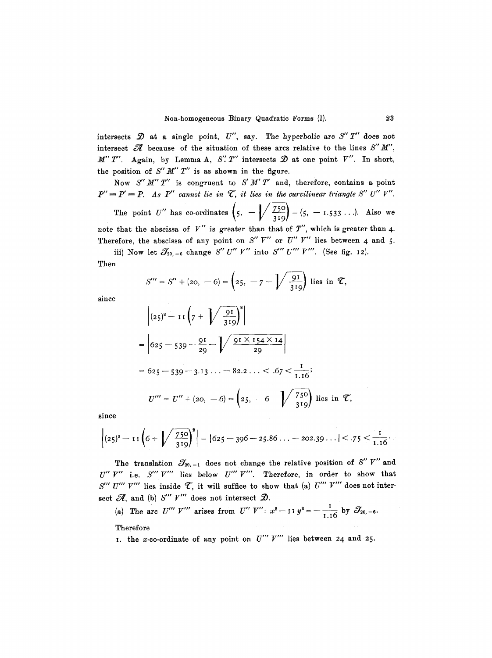intersects  $\mathcal D$  at a single point,  $U''$ , say. The hyperbolic arc  $S''T''$  does not intersect  $\mathscr A$  because of the situation of these arcs relative to the lines  $S''M''$ ,  $M'' T''$ . Again, by Lemma A, S''. T'' intersects  $\mathcal{D}$  at one point V''. In short, the position of  $S'' M'' T''$  is as shown in the figure.

Now *S'M'T"* is congruent to *S'M'T'* and, therefore, contains a point  $P'' \equiv P' \equiv P$ . As P'' cannot lie in  $\mathcal{T}$ , it lies in the curvilinear triangle S'' U'' V''.

The point *U*" has co-ordinates  $(5, -\frac{1}{2\epsilon})^2 = (5, -1.533...).$  Also we  $\binom{5}{1}$   $\binom{319}{ }$ note that the abscissa of V" is greater than that of *T",* which is greater than 4. Therefore, the abscissa of any point on  $S'' V''$  or  $U'' V''$  lies between 4 and 5.

iii) Now let  $\mathcal{J}_{20,-6}$  change *S" U" V"* into *S"' U"' V"'*. (See fig. 12).

Then

$$
S''' = S'' + (20, -6) = \left(25, -7 - \sqrt{\frac{91}{319}}\right)
$$
 lies in  $\mathcal{T}$ ,

since

$$
\left| (25)^2 - 11 \left( 7 + \sqrt{\frac{91}{319}} \right)^2 \right|
$$
  
=  $\left| 625 - 539 - \frac{91}{29} - \sqrt{\frac{91 \times 154 \times 14}{29}} \right|$   
=  $625 - 539 - 3.13 \dots - 82.2 \dots < .67 < \frac{1}{1.16};$   
 $U''' = U'' + (20, -6) = \left( 25, -6 - \sqrt{\frac{750}{319}} \right)$  lies in  $\mathcal{I}$ ,

since

$$
\left|(25)^2-11\left(6+\sqrt{\frac{750}{319}}\right)^2\right| = |625-396-25.86...-202.39...|<.75< \frac{1}{1.16}.
$$

The translation  $\mathcal{J}_{20,-1}$  does not change the relative position of S" V" and  $U''$   $V''$  i.e.  $S'''$   $V'''$  lies below  $U'''$   $V'''$ . Therefore, in order to show that S'" U'" V'" lies inside  $\mathcal{T}$ , it will suffice to show that (a) U'" V'" does not intersect  $\mathscr{A}$ , and (b)  $S'''$   $V'''$  does not intersect  $\mathscr{D}$ .

(a) The arc U''' V''' arises from U'' V'':  $x^2$  - 11  $y^2$  = -  $\frac{1}{1.16}$  by  $\mathcal{J}_{20,-6}$ . Therefore

I. the x-co-ordinate of any point on  $U'''$   $V'''$  lies between 24 and 25.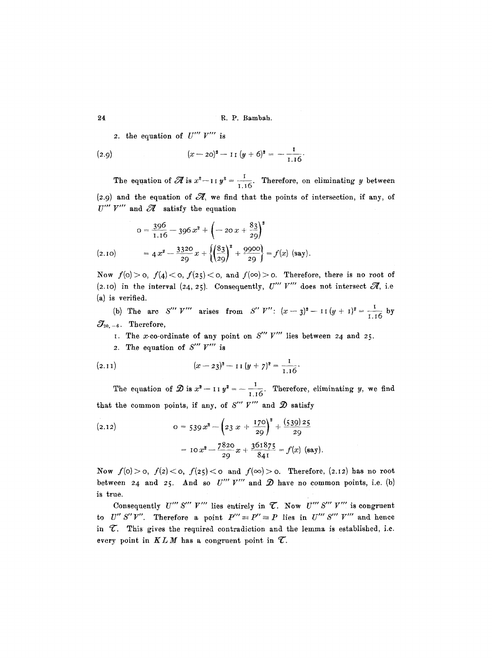24 R.P. Bambah.

2. the equation of  $U''' V'''$  is

(2.9) 
$$
(x-20)^2 - I I (y+6)^2 = -\frac{I}{1.16}.
$$

The equation of  $\mathscr{\overline{A}}$  is  $x^2$  -11  $y^2 = \frac{1}{1.16}$ . Therefore, on eliminating y between (2.9) and the equation of  $\mathcal{A}$ , we find that the points of intersection, if any, of  $U'''$   $V'''$  and  $\mathscr A$  satisfy the equation

$$
0 = \frac{396}{1.16} - 396 x^2 + \left(-20 x + \frac{83}{29}\right)^2
$$
  
(2.10) =  $4 x^2 - \frac{3320}{29} x + \left\{\left(\frac{83}{29}\right)^2 + \frac{9900}{29}\right\} = f(x)$  (say).

Now  $f(0) > 0$ ,  $f(4) < 0$ ,  $f(25) < 0$ , and  $f(\infty) > 0$ . Therefore, there is no root of (2.10) in the interval (24, 25). Consequently,  $U'''$  V'" does not intersect  $\mathscr{R}$ , i.e.  $(a)$  is verified.

(b) The arc S''' V''' arises from S'' V'':  $(x - 3)^2 - 11(y + 1)^2 = \frac{1}{1.16}$  by  $\mathcal{J}_{\scriptscriptstyle 20,-6}$  . Therefore,

I. The x-co-ordinate of any point on *S"' V'"* lies between 24 and 25.

2. The equation of *S'" V'"* is

(2.11) 
$$
(x-23)^2 - 11(y+7)^2 = \frac{1}{1.16}.
$$

The equation of  $\mathcal{D}$  is  $x^2 - 11 y^2 = -\frac{1}{1.16}$ . Therefore, eliminating y, we find that the common points, if any, of S"  $V'''$  and  $\mathcal D$  satisfy

(2.12) 
$$
o = 539 x^{2} - \left(23 x + \frac{170}{29}\right)^{2} + \frac{(539)25}{29}
$$

$$
= 10 x^{2} - \frac{7820}{29} x + \frac{361875}{841} = f(x) \text{ (say)}.
$$

Now  $f(0) > 0$ ,  $f(2) < 0$ ,  $f(25) < 0$  and  $f(\infty) > 0$ . Therefore, (2.12) has no root between 24 and 25. And so  $U'''$   $V'''$  and  $D$  have no common points, i.e. (b) is true.

Consequently  $U'''$  S'''  $V'''$  lies entirely in  $\mathcal T$ . Now  $U'''$  S'''  $V'''$  is congruent *to U" S"V"*. Therefore a point  $P''' \equiv P'' \equiv P$  lies in  $U'''$  S"'  $V'''$  and hence in  $\mathcal{T}$ . This gives the required contradiction and the lemma is established, i.e. every point in  $KLM$  has a congruent point in  $\mathcal{T}$ .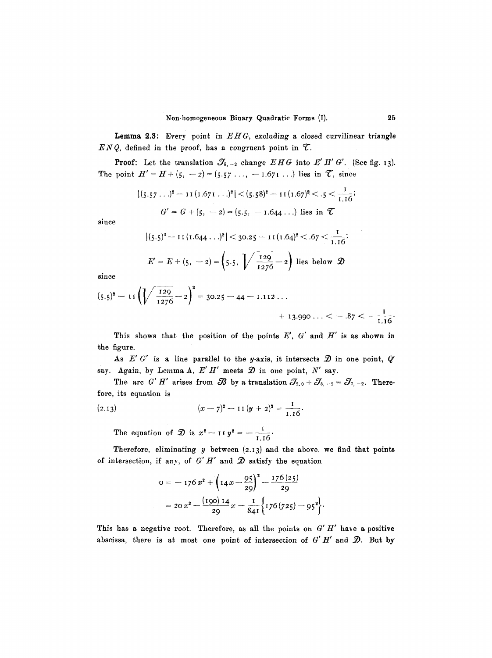Lemma 2.3: Every point in  $EHG$ , excluding a closed curvilinear triangle  $ENQ$ , defined in the proof, has a congruent point in  $\mathcal{T}$ .

**Proof:** Let the translation  $\mathcal{J}_{5,-2}$  change  $EHG$  into  $E'H'G'$ . (See fig. 13). The point  $H' = H + (5, -2) = (5.57 \ldots, -1.671 \ldots)$  lies in  $\mathcal{T}$ , since

$$
|(5.57...)^2 - 11(1.671...)^2| < (5.58)^2 - 11(1.67)^2 < .5 < \frac{1}{1.16};
$$
  
 $G' = G + (5, -2) = (5.5, -1.644...)$  lies in  $\mathcal{L}$ 

since

$$
|(5.5)^2 - 11(1.644...)^2| < 30.25 - 11(1.64)^2 < .67 < \frac{1}{1.16};
$$
  

$$
E' = E + (5, -2) = \left(5.5, \sqrt{\frac{129}{1276}} - 2\right)
$$
 lies below  $\mathcal{D}$ 

since

$$
(5.5)^{2} - 11\left(\sqrt{\frac{129}{1276}} - 2\right)^{2} = 30.25 - 44 - 1.112...
$$
  
+ 13.990... < -.87 < - $\frac{1}{1.16}$ .

This shows that the position of the points  $E'$ ,  $G'$  and  $H'$  is as shown in the figure.

As  $E' G'$  is a line parallel to the y-axis, it intersects  $\mathcal{D}$  in one point,  $Q'$ say. Again, by Lemma A,  $E' H'$  meets  $\mathcal D$  in one point,  $N'$  say.

The arc *G' H'* arises from  $\mathcal{B}$  by a translation  $\mathcal{J}_{2,0} + \mathcal{J}_{5,-2} = \mathcal{J}_{7,-2}$ . Therefore, its equation is

$$
(2.13) \qquad (x - 7)^2 - 11 (y + 2)^2 = \frac{1}{1.16}.
$$

The equation of  $\mathcal{D}$  is  $x^2 - 11 y^2 = -\frac{1}{1.16}$ .

Therefore, eliminating  $y$  between  $(2.13)$  and the above, we find that points of intersection, if any, of  $G'H'$  and  $D$  satisfy the equation

$$
0 = -176 x2 + \left(14 x - \frac{95}{29}\right)2 - \frac{176 (25)}{29}
$$
  
= 20 x<sup>2</sup> -  $\frac{(190) 14}{29} x - \frac{1}{841} \left\{176 (725) - 95^2\right\}.$ 

This has a negative root. Therefore, as all the points on  $G'H'$  have a positive abscissa, there is at most one point of intersection of  $G' H'$  and  $\mathcal{D}$ . But by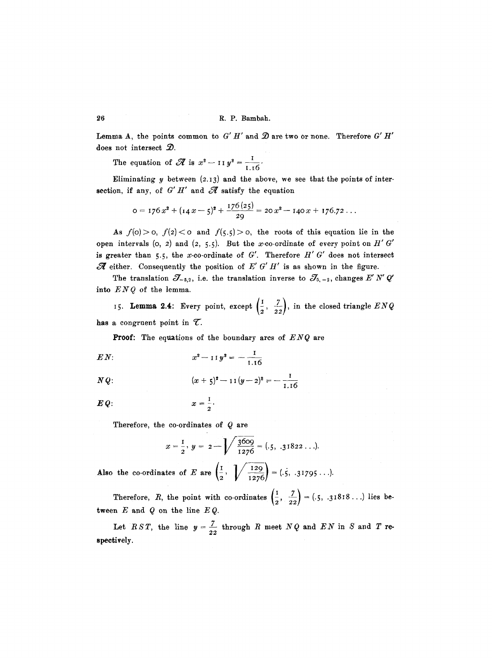Lemma A, the points common to  $G' H'$  and  $D$  are two or none. Therefore  $G' H'$ does not intersect  $\mathcal{D}$ .

The equation of  $\mathscr{A}$  is  $x^2 - 11 y^2 = \frac{1}{1.16}$ .

Eliminating  $y$  between (2.13) and the above, we see that the points of intersection, if any, of  $G'H'$  and  $\mathscr A$  satisfy the equation

$$
0 = 176 x2 + (14 x - 5)2 + \frac{176 (25)}{29} = 20 x2 - 140 x + 176.72 \ldots
$$

As  $f(0) > 0$ ,  $f(2) < 0$  and  $f(5.5) > 0$ , the roots of this equation lie in the open intervals (o, 2) and (2, 5.5). But the x-co-ordinate of every point on  $H'$  G' is greater than 5.5, the x-co-ordinate of  $G'$ . Therefore  $H'$   $G'$  does not intersect  $\mathscr A$  either. Consequently the position of  $E'$  G'  $H'$  is as shown in the figure.

The translation  $\mathcal{J}_{-5,2}$ , i.e. the translation inverse to  $\mathcal{J}_{5,-2}$ , changes *E'N' Q'* into  $ENQ$  of the lemma.

15. **Lemma 2.4:** Every point, except  $\left(\frac{1}{2}, \frac{7}{22}\right)$ , in the closed triangle  $ENQ$ has a congruent point in  $\mathcal{T}$ .

Proof: The equations of the boundary arcs of *ENQ* are

$$
EN: \t x^2 - 11 y^2 = -\frac{1}{1.16}
$$

$$
NQ: \qquad (x + 5)^2 - 11(y - 2)^2 = -\frac{1}{1.16}
$$

$$
E Q: \hspace{1cm} x = \frac{1}{2}.
$$

Therefore, the co-ordinates of  $Q$  are

$$
x = \frac{1}{2}
$$
,  $y = 2 - \sqrt{\frac{3609}{1276}} = (.5, .31822...).$ 

Also the co-ordinates of E are  $\left(\frac{1}{2}, \sqrt{\frac{129}{1276}}\right) = (.5, .31795...).$ 

Therefore, R, the point with co-ordinates  $(\frac{1}{2}, \frac{7}{22}) = (.5, .31818...)$  lies between  $E$  and  $Q$  on the line  $EQ$ .

Let  $RST$ , the line  $y = \frac{7}{22}$  through R meet  $NQ$  and  $EN$  in S and T respectively.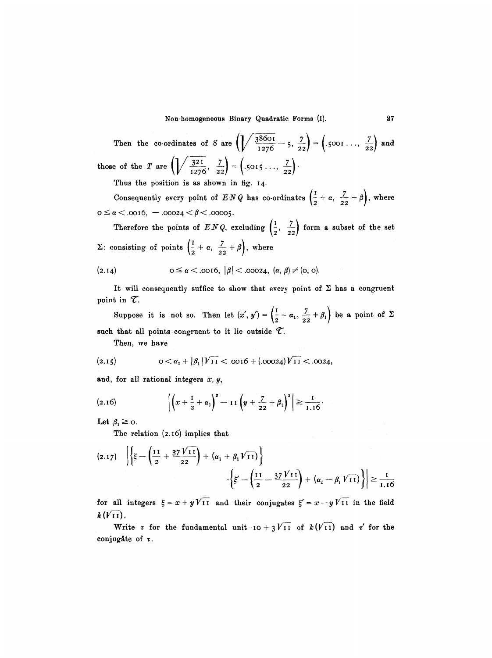Non-homogeneous Binary Quadratic Forms (I). 27

Then the co-ordinates of S are  $\left(\sqrt{\frac{38601}{1276}}-5, \frac{7}{22}\right) = \left(.5001\ldots, \frac{7}{22}\right)$  and those of the T are  $\left(\sqrt{\frac{3^{21}}{1276}}, \frac{7}{22}\right) = \left(.5015\ldots, \frac{7}{22}\right)$ .

Thus the position is as shown in fig. 14.

Consequently every point of *ENQ* has co-ordinates  $\left(\frac{1}{2} + \alpha, \frac{7}{22} + \beta\right)$ , where  $o \leq \alpha < .0016, -.00024 < \beta < .00005.$ 

Therefore the points of  $ENQ$ , excluding  $\left(\frac{1}{2}, \frac{7}{22}\right)$  form a subset of the set  $\Sigma:$  consisting of points  $\left(\frac{1}{2}+\alpha, \frac{7}{22}+\beta\right)$ , where

$$
(2.14) \t 0 \le \alpha < .0016, \ |\beta| < .00024, \ (\alpha, \beta) \ne (0, 0).
$$

It will consequently suffice to show that every point of  $\Sigma$  has a congruent point in  $\mathcal{T}$ .

Suppose it is not so. Then let  $(x', y') = \left(\frac{1}{2} + \alpha_1, \frac{7}{2} + \beta_1\right)$  be a point of  $\Sigma$ such that all points congruent to it lie outside  $\mathcal{T}$ .

Then, we have

$$
(2.15) \t\t\t 0 < \alpha_1 + |\beta_1| \sqrt{11} < .0016 + (.00024) \sqrt{11} < .0024,
$$

and, for all rational integers  $x, y$ ,

$$
(2.16) \qquad \left| \left( x + \frac{1}{2} + \alpha_1 \right)^2 - 11 \left( y + \frac{7}{22} + \beta_1 \right)^2 \right| \geq \frac{1}{1.16}.
$$

Let  $\beta_1 \geq 0$ .

The relation (2.I6) implies that

$$
(2.17) \quad \left| \left\{ \xi - \left( \frac{11}{2} + \frac{37 \, \sqrt{11}}{22} \right) + \left( \alpha_1 + \beta_1 \, \sqrt{11} \right) \right\} \right|
$$

$$
\cdot \left\{ \xi' - \left( \frac{11}{2} - \frac{37 \, \sqrt{11}}{22} \right) + \left( \alpha_1 - \beta_1 \, \sqrt{11} \right) \right\} \right| \ge \frac{1}{1.16}
$$

for all integers  $\xi = x + yV$ II and their conjugates  $\xi' = x - yV$ II in the field  $k(V_{11}).$ 

Write  $\tau$  for the fundamental unit  $I_0 + 3V_1I_1$  of  $k(V_1I)$  and  $\tau'$  for the conjugate of  $\tau$ .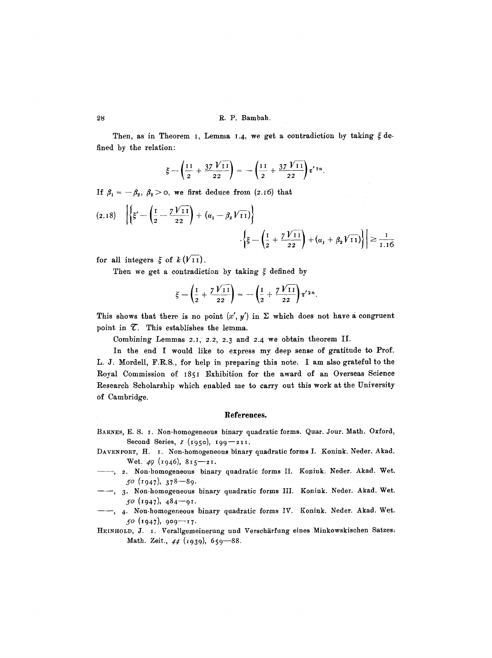## 28 R.P. Bambah.

Then, as in Theorem I, Lemma 1.4, we get a contradiction by taking  $\xi$  defined by the relation:

$$
\xi - \left(\frac{11}{2} + \frac{37 \text{ V} \cdot 1}{22}\right) = -\left(\frac{11}{2} + \frac{37 \text{ V} \cdot 1}{22}\right) t'^{2n}.
$$

If  $\beta_1 = -\beta_2, \beta_2 > 0$ , we first deduce from (z.16) that

$$
(2.18) \quad \left| \left\{ \xi' - \left( \frac{I}{2} - \frac{7V_{11}}{22} \right) + (\alpha_1 - \beta_2 V_{11}) \right\} \right|
$$

$$
\left| \xi - \left( \frac{I}{2} + \frac{7V_{11}}{22} \right) + (\alpha_1 + \beta_2 V_{11}) \right| \right| \ge \frac{I}{I.16}
$$

for all integers  $\xi$  of  $k(V_{11})$ .

Then we get a contradiction by taking  $\xi$  defined by

$$
\xi - \left(\frac{1}{2} + \frac{7\,\mathrm{V}\,\mathrm{I}\,\mathrm{I}}{2\,2}\right) = -\left(\frac{1}{2} + \frac{7\,\mathrm{V}\,\mathrm{I}\,\mathrm{I}}{2\,2}\right)\tau^{\prime}\,\mathrm{2}\,n.
$$

This shows that there is no point  $(x', y')$  in  $\Sigma$  which does not have a congruent point in  $\mathcal T$ . This establishes the lemma.

Combining Lemmas 2.I, 2.2, 2.3 and 2.4 we obtain theorem II.

In the end I would like to express my deep sense of gratitude to Prof. L. J. Mordell, F.R.S., for help in preparing this note. I am also grateful to the Royal Commission of I85I Exhibition for the award of an Overseas Science Research Scholarship which enabled me to carry out this work at the University of Cambridge.

#### **References.**

- BARNES, E. S. I. Non-homogeneous binary quadratic forms. Quar. Jour. Math. Oxford, Second Series,  $I(1950)$ ,  $199 - 211$ .
- DAVENPORT, H. I. Non-homogeneous binary quadratic forms I. Konink. Neder. Akad. Wet. 49  $(\text{1946}), 815 - 21.$
- ---, 2. Non-homogeneous binary quadratic forms II. Konink. Neder. Akad. Wet.  $50$  (1947),  $378-89$ .
- --, 3. Non-homogeneous binary quadratic forms III. Konink. Neder. Akad. Wet.  $50$  (1947),  $484 - 91$ .
- --, 4. Non-homogeneous binary quadratic forms IV. Konink. Neder. Akad. Wet. 50 (1947), 909—17.

HEINHOLD, J. I. Verallgemeinerung und Verschärfung eines Minkowskischen Satzes. Math. Zeit., 44 (1939), 659-88.